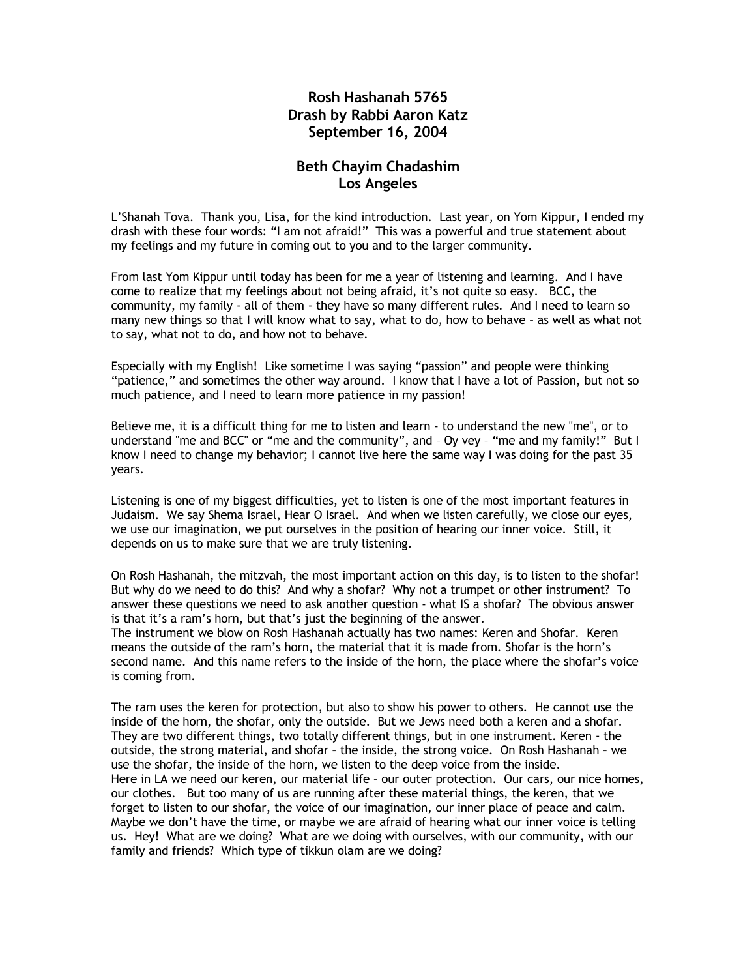## **Rosh Hashanah 5765 Drash by Rabbi Aaron Katz September 16, 2004**

## **Beth Chayim Chadashim Los Angeles**

L'Shanah Tova. Thank you, Lisa, for the kind introduction. Last year, on Yom Kippur, I ended my drash with these four words: "I am not afraid!" This was a powerful and true statement about my feelings and my future in coming out to you and to the larger community.

From last Yom Kippur until today has been for me a year of listening and learning. And I have come to realize that my feelings about not being afraid, it's not quite so easy. BCC, the community, my family - all of them - they have so many different rules. And I need to learn so many new things so that I will know what to say, what to do, how to behave – as well as what not to say, what not to do, and how not to behave.

Especially with my English! Like sometime I was saying "passion" and people were thinking "patience," and sometimes the other way around. I know that I have a lot of Passion, but not so much patience, and I need to learn more patience in my passion!

Believe me, it is a difficult thing for me to listen and learn - to understand the new "me", or to understand "me and BCC" or "me and the community", and – Oy vey – "me and my family!" But I know I need to change my behavior; I cannot live here the same way I was doing for the past 35 years.

Listening is one of my biggest difficulties, yet to listen is one of the most important features in Judaism. We say Shema Israel, Hear O Israel. And when we listen carefully, we close our eyes, we use our imagination, we put ourselves in the position of hearing our inner voice. Still, it depends on us to make sure that we are truly listening.

On Rosh Hashanah, the mitzvah, the most important action on this day, is to listen to the shofar! But why do we need to do this? And why a shofar? Why not a trumpet or other instrument? To answer these questions we need to ask another question - what IS a shofar? The obvious answer is that it's a ram's horn, but that's just the beginning of the answer.

The instrument we blow on Rosh Hashanah actually has two names: Keren and Shofar. Keren means the outside of the ram's horn, the material that it is made from. Shofar is the horn's second name. And this name refers to the inside of the horn, the place where the shofar's voice is coming from.

The ram uses the keren for protection, but also to show his power to others. He cannot use the inside of the horn, the shofar, only the outside. But we Jews need both a keren and a shofar. They are two different things, two totally different things, but in one instrument. Keren - the outside, the strong material, and shofar – the inside, the strong voice. On Rosh Hashanah – we use the shofar, the inside of the horn, we listen to the deep voice from the inside. Here in LA we need our keren, our material life – our outer protection. Our cars, our nice homes, our clothes. But too many of us are running after these material things, the keren, that we forget to listen to our shofar, the voice of our imagination, our inner place of peace and calm. Maybe we don't have the time, or maybe we are afraid of hearing what our inner voice is telling us. Hey! What are we doing? What are we doing with ourselves, with our community, with our family and friends? Which type of tikkun olam are we doing?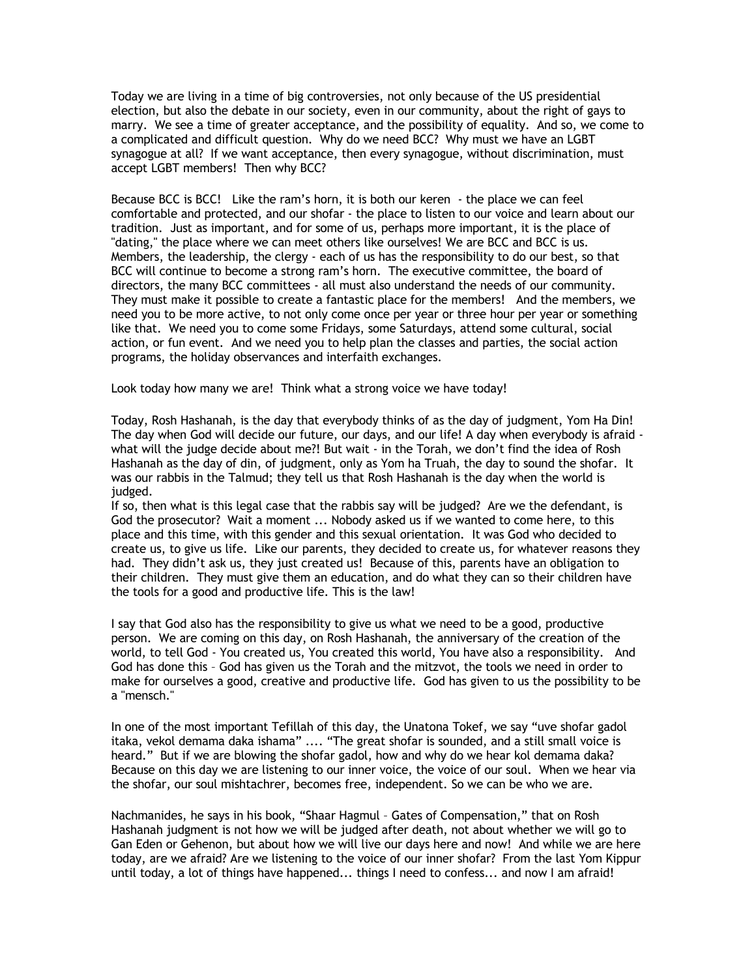Today we are living in a time of big controversies, not only because of the US presidential election, but also the debate in our society, even in our community, about the right of gays to marry. We see a time of greater acceptance, and the possibility of equality. And so, we come to a complicated and difficult question. Why do we need BCC? Why must we have an LGBT synagogue at all? If we want acceptance, then every synagogue, without discrimination, must accept LGBT members! Then why BCC?

Because BCC is BCC! Like the ram's horn, it is both our keren - the place we can feel comfortable and protected, and our shofar - the place to listen to our voice and learn about our tradition. Just as important, and for some of us, perhaps more important, it is the place of "dating," the place where we can meet others like ourselves! We are BCC and BCC is us. Members, the leadership, the clergy - each of us has the responsibility to do our best, so that BCC will continue to become a strong ram's horn. The executive committee, the board of directors, the many BCC committees - all must also understand the needs of our community. They must make it possible to create a fantastic place for the members! And the members, we need you to be more active, to not only come once per year or three hour per year or something like that. We need you to come some Fridays, some Saturdays, attend some cultural, social action, or fun event. And we need you to help plan the classes and parties, the social action programs, the holiday observances and interfaith exchanges.

Look today how many we are! Think what a strong voice we have today!

Today, Rosh Hashanah, is the day that everybody thinks of as the day of judgment, Yom Ha Din! The day when God will decide our future, our days, and our life! A day when everybody is afraid what will the judge decide about me?! But wait - in the Torah, we don't find the idea of Rosh Hashanah as the day of din, of judgment, only as Yom ha Truah, the day to sound the shofar. It was our rabbis in the Talmud; they tell us that Rosh Hashanah is the day when the world is judged.

If so, then what is this legal case that the rabbis say will be judged? Are we the defendant, is God the prosecutor? Wait a moment ... Nobody asked us if we wanted to come here, to this place and this time, with this gender and this sexual orientation. It was God who decided to create us, to give us life. Like our parents, they decided to create us, for whatever reasons they had. They didn't ask us, they just created us! Because of this, parents have an obligation to their children. They must give them an education, and do what they can so their children have the tools for a good and productive life. This is the law!

I say that God also has the responsibility to give us what we need to be a good, productive person. We are coming on this day, on Rosh Hashanah, the anniversary of the creation of the world, to tell God - You created us, You created this world, You have also a responsibility. And God has done this – God has given us the Torah and the mitzvot, the tools we need in order to make for ourselves a good, creative and productive life. God has given to us the possibility to be a "mensch."

In one of the most important Tefillah of this day, the Unatona Tokef, we say "uve shofar gadol itaka, vekol demama daka ishama" .... "The great shofar is sounded, and a still small voice is heard." But if we are blowing the shofar gadol, how and why do we hear kol demama daka? Because on this day we are listening to our inner voice, the voice of our soul. When we hear via the shofar, our soul mishtachrer, becomes free, independent. So we can be who we are.

Nachmanides, he says in his book, "Shaar Hagmul – Gates of Compensation," that on Rosh Hashanah judgment is not how we will be judged after death, not about whether we will go to Gan Eden or Gehenon, but about how we will live our days here and now! And while we are here today, are we afraid? Are we listening to the voice of our inner shofar? From the last Yom Kippur until today, a lot of things have happened... things I need to confess... and now I am afraid!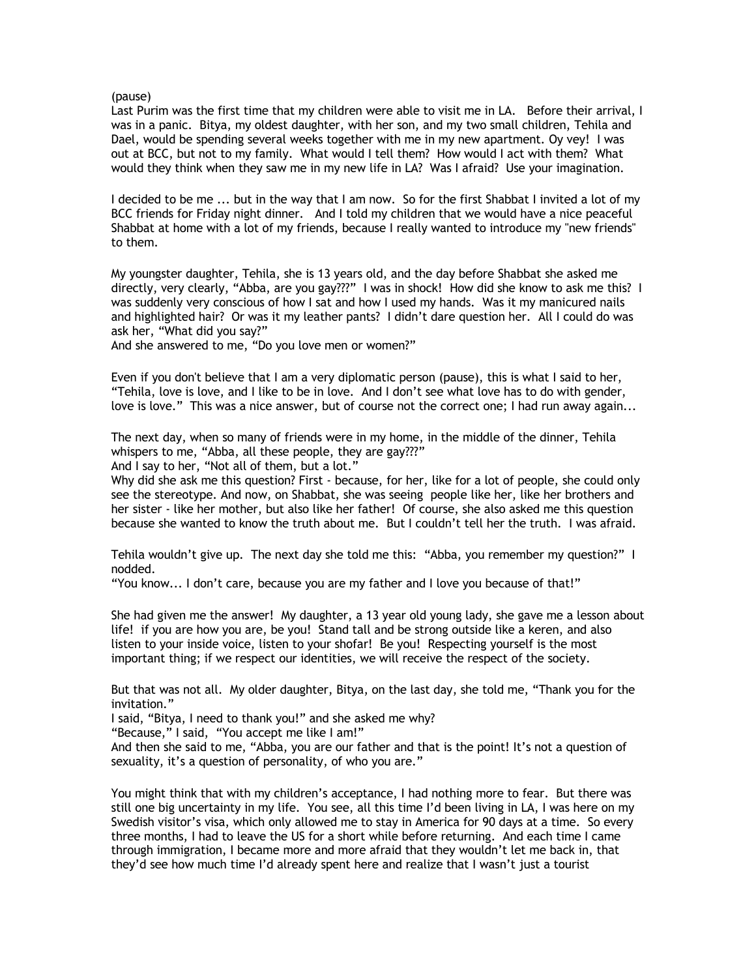## (pause)

Last Purim was the first time that my children were able to visit me in LA. Before their arrival, I was in a panic. Bitya, my oldest daughter, with her son, and my two small children, Tehila and Dael, would be spending several weeks together with me in my new apartment. Oy vey! I was out at BCC, but not to my family. What would I tell them? How would I act with them? What would they think when they saw me in my new life in LA? Was I afraid? Use your imagination.

I decided to be me ... but in the way that I am now. So for the first Shabbat I invited a lot of my BCC friends for Friday night dinner. And I told my children that we would have a nice peaceful Shabbat at home with a lot of my friends, because I really wanted to introduce my "new friends" to them.

My youngster daughter, Tehila, she is 13 years old, and the day before Shabbat she asked me directly, very clearly, "Abba, are you gay???" I was in shock! How did she know to ask me this? I was suddenly very conscious of how I sat and how I used my hands. Was it my manicured nails and highlighted hair? Or was it my leather pants? I didn't dare question her. All I could do was ask her, "What did you say?"

And she answered to me, "Do you love men or women?"

Even if you don't believe that I am a very diplomatic person (pause), this is what I said to her, "Tehila, love is love, and I like to be in love. And I don't see what love has to do with gender, love is love." This was a nice answer, but of course not the correct one; I had run away again...

The next day, when so many of friends were in my home, in the middle of the dinner, Tehila whispers to me, "Abba, all these people, they are gay???"

And I say to her, "Not all of them, but a lot."

Why did she ask me this question? First - because, for her, like for a lot of people, she could only see the stereotype. And now, on Shabbat, she was seeing people like her, like her brothers and her sister - like her mother, but also like her father! Of course, she also asked me this question because she wanted to know the truth about me. But I couldn't tell her the truth. I was afraid.

Tehila wouldn't give up. The next day she told me this: "Abba, you remember my question?" I nodded.

"You know... I don't care, because you are my father and I love you because of that!"

She had given me the answer! My daughter, a 13 year old young lady, she gave me a lesson about life! if you are how you are, be you! Stand tall and be strong outside like a keren, and also listen to your inside voice, listen to your shofar! Be you! Respecting yourself is the most important thing; if we respect our identities, we will receive the respect of the society.

But that was not all. My older daughter, Bitya, on the last day, she told me, "Thank you for the invitation."

I said, "Bitya, I need to thank you!" and she asked me why?

"Because," I said, "You accept me like I am!"

And then she said to me, "Abba, you are our father and that is the point! It's not a question of sexuality, it's a question of personality, of who you are."

You might think that with my children's acceptance, I had nothing more to fear. But there was still one big uncertainty in my life. You see, all this time I'd been living in LA, I was here on my Swedish visitor's visa, which only allowed me to stay in America for 90 days at a time. So every three months, I had to leave the US for a short while before returning. And each time I came through immigration, I became more and more afraid that they wouldn't let me back in, that they'd see how much time I'd already spent here and realize that I wasn't just a tourist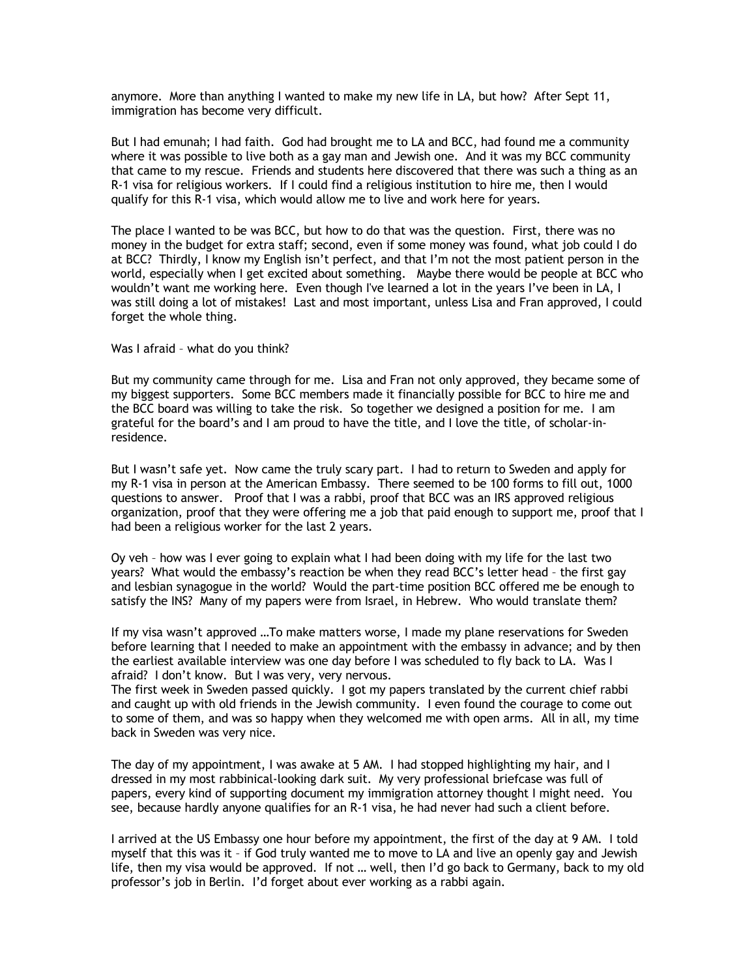anymore. More than anything I wanted to make my new life in LA, but how? After Sept 11, immigration has become very difficult.

But I had emunah; I had faith. God had brought me to LA and BCC, had found me a community where it was possible to live both as a gay man and Jewish one. And it was my BCC community that came to my rescue. Friends and students here discovered that there was such a thing as an R-1 visa for religious workers. If I could find a religious institution to hire me, then I would qualify for this R-1 visa, which would allow me to live and work here for years.

The place I wanted to be was BCC, but how to do that was the question. First, there was no money in the budget for extra staff; second, even if some money was found, what job could I do at BCC? Thirdly, I know my English isn't perfect, and that I'm not the most patient person in the world, especially when I get excited about something. Maybe there would be people at BCC who wouldn't want me working here. Even though I've learned a lot in the years I've been in LA, I was still doing a lot of mistakes! Last and most important, unless Lisa and Fran approved, I could forget the whole thing.

## Was I afraid – what do you think?

But my community came through for me. Lisa and Fran not only approved, they became some of my biggest supporters. Some BCC members made it financially possible for BCC to hire me and the BCC board was willing to take the risk. So together we designed a position for me. I am grateful for the board's and I am proud to have the title, and I love the title, of scholar-inresidence.

But I wasn't safe yet. Now came the truly scary part. I had to return to Sweden and apply for my R-1 visa in person at the American Embassy. There seemed to be 100 forms to fill out, 1000 questions to answer. Proof that I was a rabbi, proof that BCC was an IRS approved religious organization, proof that they were offering me a job that paid enough to support me, proof that I had been a religious worker for the last 2 years.

Oy veh – how was I ever going to explain what I had been doing with my life for the last two years? What would the embassy's reaction be when they read BCC's letter head – the first gay and lesbian synagogue in the world? Would the part-time position BCC offered me be enough to satisfy the INS? Many of my papers were from Israel, in Hebrew. Who would translate them?

If my visa wasn't approved …To make matters worse, I made my plane reservations for Sweden before learning that I needed to make an appointment with the embassy in advance; and by then the earliest available interview was one day before I was scheduled to fly back to LA. Was I afraid? I don't know. But I was very, very nervous.

The first week in Sweden passed quickly. I got my papers translated by the current chief rabbi and caught up with old friends in the Jewish community. I even found the courage to come out to some of them, and was so happy when they welcomed me with open arms. All in all, my time back in Sweden was very nice.

The day of my appointment, I was awake at 5 AM. I had stopped highlighting my hair, and I dressed in my most rabbinical-looking dark suit. My very professional briefcase was full of papers, every kind of supporting document my immigration attorney thought I might need. You see, because hardly anyone qualifies for an R-1 visa, he had never had such a client before.

I arrived at the US Embassy one hour before my appointment, the first of the day at 9 AM. I told myself that this was it – if God truly wanted me to move to LA and live an openly gay and Jewish life, then my visa would be approved. If not … well, then I'd go back to Germany, back to my old professor's job in Berlin. I'd forget about ever working as a rabbi again.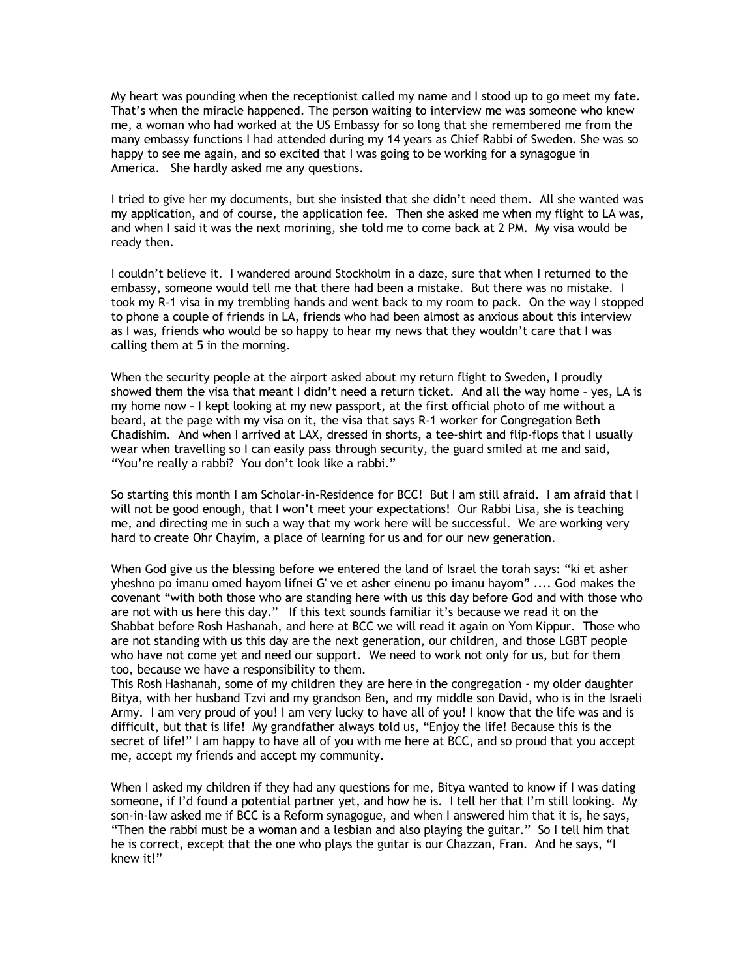My heart was pounding when the receptionist called my name and I stood up to go meet my fate. That's when the miracle happened. The person waiting to interview me was someone who knew me, a woman who had worked at the US Embassy for so long that she remembered me from the many embassy functions I had attended during my 14 years as Chief Rabbi of Sweden. She was so happy to see me again, and so excited that I was going to be working for a synagogue in America. She hardly asked me any questions.

I tried to give her my documents, but she insisted that she didn't need them. All she wanted was my application, and of course, the application fee. Then she asked me when my flight to LA was, and when I said it was the next morining, she told me to come back at 2 PM. My visa would be ready then.

I couldn't believe it. I wandered around Stockholm in a daze, sure that when I returned to the embassy, someone would tell me that there had been a mistake. But there was no mistake. I took my R-1 visa in my trembling hands and went back to my room to pack. On the way I stopped to phone a couple of friends in LA, friends who had been almost as anxious about this interview as I was, friends who would be so happy to hear my news that they wouldn't care that I was calling them at 5 in the morning.

When the security people at the airport asked about my return flight to Sweden, I proudly showed them the visa that meant I didn't need a return ticket. And all the way home – yes, LA is my home now – I kept looking at my new passport, at the first official photo of me without a beard, at the page with my visa on it, the visa that says R-1 worker for Congregation Beth Chadishim. And when I arrived at LAX, dressed in shorts, a tee-shirt and flip-flops that I usually wear when travelling so I can easily pass through security, the guard smiled at me and said, "You're really a rabbi? You don't look like a rabbi."

So starting this month I am Scholar-in-Residence for BCC! But I am still afraid. I am afraid that I will not be good enough, that I won't meet your expectations! Our Rabbi Lisa, she is teaching me, and directing me in such a way that my work here will be successful. We are working very hard to create Ohr Chayim, a place of learning for us and for our new generation.

When God give us the blessing before we entered the land of Israel the torah says: "ki et asher yheshno po imanu omed hayom lifnei G' ve et asher einenu po imanu hayom" .... God makes the covenant "with both those who are standing here with us this day before God and with those who are not with us here this day." If this text sounds familiar it's because we read it on the Shabbat before Rosh Hashanah, and here at BCC we will read it again on Yom Kippur. Those who are not standing with us this day are the next generation, our children, and those LGBT people who have not come yet and need our support. We need to work not only for us, but for them too, because we have a responsibility to them.

This Rosh Hashanah, some of my children they are here in the congregation - my older daughter Bitya, with her husband Tzvi and my grandson Ben, and my middle son David, who is in the Israeli Army. I am very proud of you! I am very lucky to have all of you! I know that the life was and is difficult, but that is life! My grandfather always told us, "Enjoy the life! Because this is the secret of life!" I am happy to have all of you with me here at BCC, and so proud that you accept me, accept my friends and accept my community.

When I asked my children if they had any questions for me, Bitya wanted to know if I was dating someone, if I'd found a potential partner yet, and how he is. I tell her that I'm still looking. My son-in-law asked me if BCC is a Reform synagogue, and when I answered him that it is, he says, "Then the rabbi must be a woman and a lesbian and also playing the guitar." So I tell him that he is correct, except that the one who plays the guitar is our Chazzan, Fran. And he says, "I knew it!"